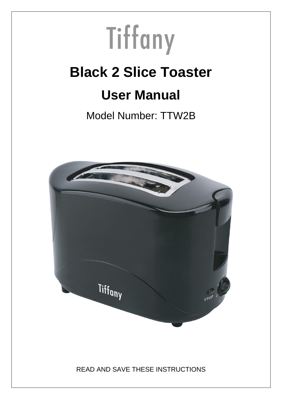# Tiffany

## **Black 2 Slice Toaster**

## **User Manual**

### Model Number: TTW2B



#### READ AND SAVE THESE INSTRUCTIONS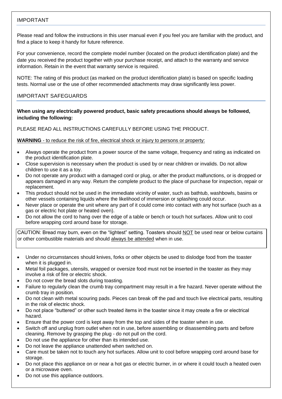#### IMPORTANT

Please read and follow the instructions in this user manual even if you feel you are familiar with the product, and find a place to keep it handy for future reference.

For your convenience, record the complete model number (located on the product identification plate) and the date you received the product together with your purchase receipt, and attach to the warranty and service information. Retain in the event that warranty service is required.

NOTE: The rating of this product (as marked on the product identification plate) is based on specific loading tests. Normal use or the use of other recommended attachments may draw significantly less power.

#### IMPORTANT SAFEGUARDS

#### **When using any electrically powered product, basic safety precautions should always be followed, including the following:**

PLEASE READ ALL INSTRUCTIONS CAREFULLY BEFORE USING THE PRODUCT.

**WARNING** - to reduce the risk of fire, electrical shock or injury to persons or property:

- Always operate the product from a power source of the same voltage, frequency and rating as indicated on the product identification plate.
- Close supervision is necessary when the product is used by or near children or invalids. Do not allow children to use it as a toy.
- Do not operate any product with a damaged cord or plug, or after the product malfunctions, or is dropped or appears damaged in any way. Return the complete product to the place of purchase for inspection, repair or replacement.
- This product should not be used in the immediate vicinity of water, such as bathtub, washbowls, basins or other vessels containing liquids where the likelihood of immersion or splashing could occur.
- Never place or operate the unit where any part of it could come into contact with any hot surface (such as a gas or electric hot plate or heated oven).
- Do not allow the cord to hang over the edge of a table or bench or touch hot surfaces. Allow unit to cool before wrapping cord around base for storage.

CAUTION: Bread may burn, even on the "lightest" setting. Toasters should NOT be used near or below curtains or other combustible materials and should always be attended when in use.

- Under no circumstances should knives, forks or other objects be used to dislodge food from the toaster when it is plugged in.
- Metal foil packages, utensils, wrapped or oversize food must not be inserted in the toaster as they may involve a risk of fire or electric shock.
- Do not cover the bread slots during toasting.
- Failure to regularly clean the crumb tray compartment may result in a fire hazard. Never operate without the crumb tray in position.
- Do not clean with metal scouring pads. Pieces can break off the pad and touch live electrical parts, resulting in the risk of electric shock.
- Do not place "buttered" or other such treated items in the toaster since it may create a fire or electrical hazard.
- Ensure that the power cord is kept away from the top and sides of the toaster when in use.
- Switch off and unplug from outlet when not in use, before assembling or disassembling parts and before cleaning. Remove by grasping the plug - do not pull on the cord.
- Do not use the appliance for other than its intended use.
- Do not leave the appliance unattended when switched on.
- Care must be taken not to touch any hot surfaces. Allow unit to cool before wrapping cord around base for storage.
- Do not place this appliance on or near a hot gas or electric burner, in or where it could touch a heated oven or a microwave oven.
- Do not use this appliance outdoors.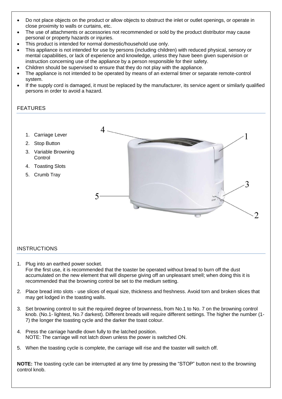- Do not place objects on the product or allow objects to obstruct the inlet or outlet openings, or operate in close proximity to walls or curtains, etc.
- The use of attachments or accessories not recommended or sold by the product distributor may cause personal or property hazards or injuries.
- This product is intended for normal domestic/household use only.
- This appliance is not intended for use by persons (including children) with reduced physical, sensory or mental capabilities, or lack of experience and knowledge, unless they have been given supervision or instruction concerning use of the appliance by a person responsible for their safety.
- Children should be supervised to ensure that they do not play with the appliance.
- The appliance is not intended to be operated by means of an external timer or separate remote-control system.
- If the supply cord is damaged, it must be replaced by the manufacturer, its service agent or similarly qualified persons in order to avoid a hazard.

#### FEATURES

- 1. Carriage Lever
- 2. Stop Button
- 3. Variable Browning **Control**
- 4. Toasting Slots
- 5. Crumb Tray



#### **INSTRUCTIONS**

- 1. Plug into an earthed power socket. For the first use, it is recommended that the toaster be operated without bread to burn off the dust accumulated on the new element that will disperse giving off an unpleasant smell; when doing this it is recommended that the browning control be set to the medium setting.
- 2. Place bread into slots use slices of equal size, thickness and freshness. Avoid torn and broken slices that may get lodged in the toasting walls.
- 3. Set browning control to suit the required degree of brownness, from No.1 to No. 7 on the browning control knob. (No.1- lightest, No.7 darkest). Different breads will require different settings. The higher the number (1- 7) the longer the toasting cycle and the darker the toast colour.
- 4. Press the carriage handle down fully to the latched position. NOTE: The carriage will not latch down unless the power is switched ON.
- 5. When the toasting cycle is complete, the carriage will rise and the toaster will switch off.

**NOTE:** The toasting cycle can be interrupted at any time by pressing the "STOP" button next to the browning control knob.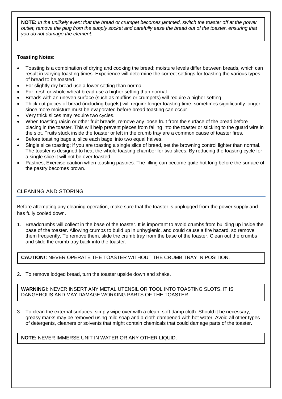**NOTE:** *In the unlikely event that the bread or crumpet becomes jammed, switch the toaster off at the power outlet, remove the plug from the supply socket and carefully ease the bread out of the toaster, ensuring that you do not damage the element.* 

#### **Toasting Notes:**

- Toasting is a combination of drying and cooking the bread; moisture levels differ between breads, which can result in varying toasting times. Experience will determine the correct settings for toasting the various types of bread to be toasted.
- For slightly dry bread use a lower setting than normal.
- For fresh or whole wheat bread use a higher setting than normal.
- Breads with an uneven surface (such as muffins or crumpets) will require a higher setting.
- Thick cut pieces of bread (including bagels) will require longer toasting time, sometimes significantly longer, since more moisture must be evaporated before bread toasting can occur.
- Very thick slices may require two cycles.
- When toasting raisin or other fruit breads, remove any loose fruit from the surface of the bread before placing in the toaster. This will help prevent pieces from falling into the toaster or sticking to the guard wire in the slot. Fruits stuck inside the toaster or left in the crumb tray are a common cause of toaster fires.
- Before toasting bagels, slice each bagel into two equal halves.
- Single slice toasting; if you are toasting a single slice of bread, set the browning control lighter than normal. The toaster is designed to heat the whole toasting chamber for two slices. By reducing the toasting cycle for a single slice it will not be over toasted.
- Pastries; Exercise caution when toasting pastries. The filling can become quite hot long before the surface of the pastry becomes brown.

#### CLEANING AND STORING

Before attempting any cleaning operation, make sure that the toaster is unplugged from the power supply and has fully cooled down.

1. Breadcrumbs will collect in the base of the toaster. It is important to avoid crumbs from building up inside the base of the toaster. Allowing crumbs to build up in unhygienic, and could cause a fire hazard, so remove them frequently. To remove them, slide the crumb tray from the base of the toaster. Clean out the crumbs and slide the crumb tray back into the toaster.

**CAUTION!:** NEVER OPERATE THE TOASTER WITHOUT THE CRUMB TRAY IN POSITION.

2. To remove lodged bread, turn the toaster upside down and shake.

**WARNING!:** NEVER INSERT ANY METAL UTENSIL OR TOOL INTO TOASTING SLOTS. IT IS DANGEROUS AND MAY DAMAGE WORKING PARTS OF THE TOASTER.

3. To clean the external surfaces, simply wipe over with a clean, soft damp cloth. Should it be necessary, greasy marks may be removed using mild soap and a cloth dampened with hot water. Avoid all other types of detergents, cleaners or solvents that might contain chemicals that could damage parts of the toaster.

**NOTE:** NEVER IMMERSE UNIT IN WATER OR ANY OTHER LIQUID.